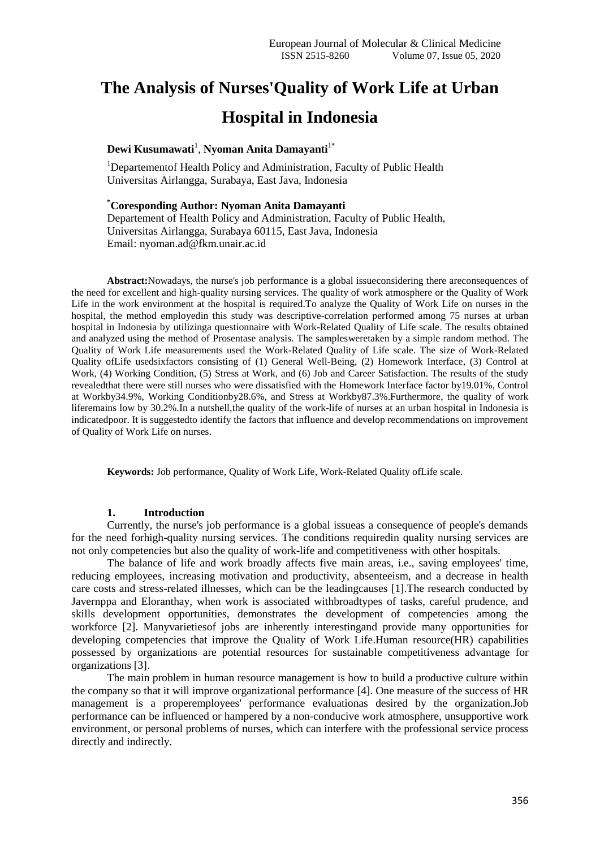# **The Analysis of Nurses'Quality of Work Life at Urban Hospital in Indonesia**

## **Dewi Kusumawati**<sup>1</sup> , **Nyoman Anita Damayanti**1\*

<sup>1</sup>Departementof Health Policy and Administration, Faculty of Public Health Universitas Airlangga, Surabaya, East Java, Indonesia

**\*Coresponding Author: Nyoman Anita Damayanti**

Departement of Health Policy and Administration, Faculty of Public Health, Universitas Airlangga, Surabaya 60115, East Java, Indonesia Email: nyoman.ad@fkm.unair.ac.id

**Abstract:**Nowadays, the nurse's job performance is a global issueconsidering there areconsequences of the need for excellent and high-quality nursing services. The quality of work atmosphere or the Quality of Work Life in the work environment at the hospital is required.To analyze the Quality of Work Life on nurses in the hospital, the method employedin this study was descriptive-correlation performed among 75 nurses at urban hospital in Indonesia by utilizinga questionnaire with Work-Related Quality of Life scale. The results obtained and analyzed using the method of Prosentase analysis. The samplesweretaken by a simple random method. The Quality of Work Life measurements used the Work-Related Quality of Life scale. The size of Work-Related Quality ofLife usedsixfactors consisting of (1) General Well-Being, (2) Homework Interface, (3) Control at Work, (4) Working Condition, (5) Stress at Work, and (6) Job and Career Satisfaction. The results of the study revealedthat there were still nurses who were dissatisfied with the Homework Interface factor by19.01%, Control at Workby34.9%, Working Conditionby28.6%, and Stress at Workby87.3%.Furthermore, the quality of work liferemains low by 30.2%.In a nutshell,the quality of the work-life of nurses at an urban hospital in Indonesia is indicatedpoor. It is suggestedto identify the factors that influence and develop recommendations on improvement of Quality of Work Life on nurses.

**Keywords:** Job performance, Quality of Work Life, Work-Related Quality ofLife scale.

## **1. Introduction**

Currently, the nurse's job performance is a global issueas a consequence of people's demands for the need forhigh-quality nursing services. The conditions requiredin quality nursing services are not only competencies but also the quality of work-life and competitiveness with other hospitals.

The balance of life and work broadly affects five main areas, i.e., saving employees' time, reducing employees, increasing motivation and productivity, absenteeism, and a decrease in health care costs and stress-related illnesses, which can be the leadingcauses [1].The research conducted by Javernppa and Eloranthay, when work is associated withbroadtypes of tasks, careful prudence, and skills development opportunities, demonstrates the development of competencies among the workforce [2]. Manyvarietiesof jobs are inherently interestingand provide many opportunities for developing competencies that improve the Quality of Work Life.Human resource(HR) capabilities possessed by organizations are potential resources for sustainable competitiveness advantage for organizations [3].

The main problem in human resource management is how to build a productive culture within the company so that it will improve organizational performance [4]. One measure of the success of HR management is a properemployees' performance evaluationas desired by the organization.Job performance can be influenced or hampered by a non-conducive work atmosphere, unsupportive work environment, or personal problems of nurses, which can interfere with the professional service process directly and indirectly.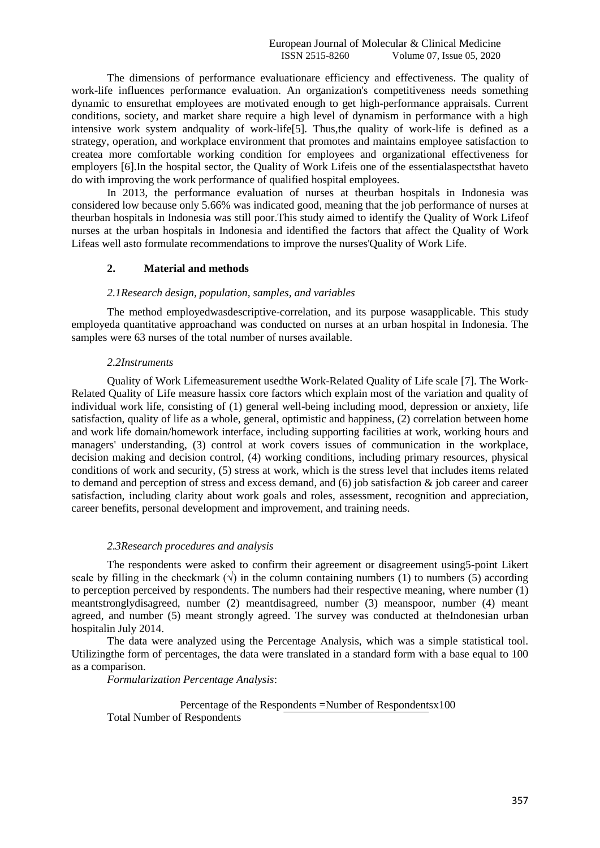The dimensions of performance evaluationare efficiency and effectiveness. The quality of work-life influences performance evaluation. An organization's competitiveness needs something dynamic to ensurethat employees are motivated enough to get high-performance appraisals. Current conditions, society, and market share require a high level of dynamism in performance with a high intensive work system and quality of work-life<sup>[5]</sup>. Thus, the quality of work-life is defined as a strategy, operation, and workplace environment that promotes and maintains employee satisfaction to createa more comfortable working condition for employees and organizational effectiveness for employers [6].In the hospital sector, the Quality of Work Lifeis one of the essentialaspectsthat haveto do with improving the work performance of qualified hospital employees.

In 2013, the performance evaluation of nurses at theurban hospitals in Indonesia was considered low because only 5.66% was indicated good, meaning that the job performance of nurses at theurban hospitals in Indonesia was still poor.This study aimed to identify the Quality of Work Lifeof nurses at the urban hospitals in Indonesia and identified the factors that affect the Quality of Work Lifeas well asto formulate recommendations to improve the nurses'Quality of Work Life.

#### **2. Material and methods**

#### *2.1Research design, population, samples, and variables*

The method employedwasdescriptive-correlation, and its purpose wasapplicable. This study employeda quantitative approachand was conducted on nurses at an urban hospital in Indonesia. The samples were 63 nurses of the total number of nurses available.

#### *2.2Instruments*

Quality of Work Lifemeasurement usedthe Work-Related Quality of Life scale [7]. The Work-Related Quality of Life measure hassix core factors which explain most of the variation and quality of individual work life, consisting of (1) general well-being including mood, depression or anxiety, life satisfaction, quality of life as a whole, general, optimistic and happiness, (2) correlation between home and work life domain/homework interface, including supporting facilities at work, working hours and managers' understanding, (3) control at work covers issues of communication in the workplace, decision making and decision control, (4) working conditions, including primary resources, physical conditions of work and security, (5) stress at work, which is the stress level that includes items related to demand and perception of stress and excess demand, and  $(6)$  job satisfaction  $\&$  job career and career satisfaction, including clarity about work goals and roles, assessment, recognition and appreciation, career benefits, personal development and improvement, and training needs.

### *2.3Research procedures and analysis*

The respondents were asked to confirm their agreement or disagreement using5-point Likert scale by filling in the checkmark  $(\sqrt{})$  in the column containing numbers (1) to numbers (5) according to perception perceived by respondents. The numbers had their respective meaning, where number  $(1)$ meantstronglydisagreed, number (2) meantdisagreed, number (3) meanspoor, number (4) meant agreed, and number (5) meant strongly agreed. The survey was conducted at theIndonesian urban hospitalin July 2014.

The data were analyzed using the Percentage Analysis, which was a simple statistical tool. Utilizingthe form of percentages, the data were translated in a standard form with a base equal to 100 as a comparison.

*Formularization Percentage Analysis*:

Percentage of the Respondents =Number of Respondentsx100 Total Number of Respondents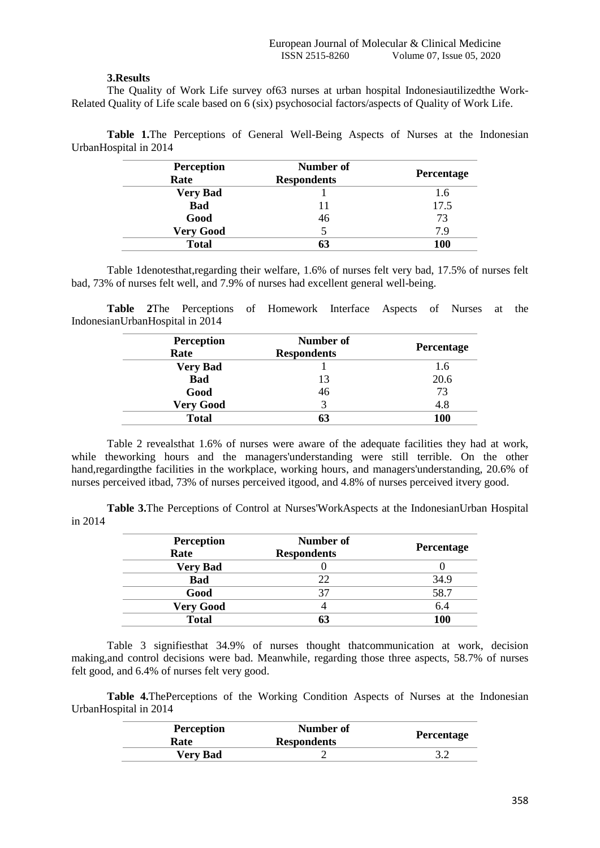## **3.Results**

The Quality of Work Life survey of63 nurses at urban hospital Indonesiautilizedthe Work-Related Quality of Life scale based on 6 (six) psychosocial factors/aspects of Quality of Work Life.

**Table 1.**The Perceptions of General Well-Being Aspects of Nurses at the Indonesian UrbanHospital in 2014

| <b>Perception</b> | Number of          |            |
|-------------------|--------------------|------------|
| Rate              | <b>Respondents</b> | Percentage |
| <b>Very Bad</b>   |                    | 1.6        |
| <b>Bad</b>        | 11                 | 17.5       |
| Good              | 46                 | 73         |
| <b>Very Good</b>  |                    | 7.9        |
| <b>Total</b>      | 63                 | <b>100</b> |

Table 1denotesthat,regarding their welfare, 1.6% of nurses felt very bad, 17.5% of nurses felt bad, 73% of nurses felt well, and 7.9% of nurses had excellent general well-being.

**Table 2**The Perceptions of Homework Interface Aspects of Nurses at the IndonesianUrbanHospital in 2014

| <b>Perception</b> | Number of          | <b>Percentage</b> |
|-------------------|--------------------|-------------------|
| Rate              | <b>Respondents</b> |                   |
| <b>Very Bad</b>   |                    | 1.6               |
| <b>Bad</b>        | 13                 | 20.6              |
| Good              | 46                 | 73                |
| <b>Very Good</b>  | 3                  | 4.8               |
| <b>Total</b>      | 63                 | <b>100</b>        |

Table 2 revealsthat 1.6% of nurses were aware of the adequate facilities they had at work, while theworking hours and the managers'understanding were still terrible. On the other hand,regardingthe facilities in the workplace, working hours, and managers'understanding, 20.6% of nurses perceived itbad, 73% of nurses perceived itgood, and 4.8% of nurses perceived itvery good.

**Table 3.**The Perceptions of Control at Nurses'WorkAspects at the IndonesianUrban Hospital in 2014

| <b>Perception</b><br>Rate | Number of<br><b>Respondents</b> | Percentage |
|---------------------------|---------------------------------|------------|
| <b>Very Bad</b>           |                                 |            |
| <b>Bad</b>                | 22                              | 34.9       |
| Good                      | 37                              | 58.7       |
| <b>Very Good</b>          |                                 | 6.4        |
| <b>Total</b>              |                                 | <b>100</b> |

Table 3 signifiesthat 34.9% of nurses thought thatcommunication at work, decision making,and control decisions were bad. Meanwhile, regarding those three aspects, 58.7% of nurses felt good, and 6.4% of nurses felt very good.

**Table 4.**ThePerceptions of the Working Condition Aspects of Nurses at the Indonesian UrbanHospital in 2014

| <b>Perception</b><br>Rate | Number of<br><b>Respondents</b> | <b>Percentage</b> |
|---------------------------|---------------------------------|-------------------|
| <b>Very Bad</b>           |                                 |                   |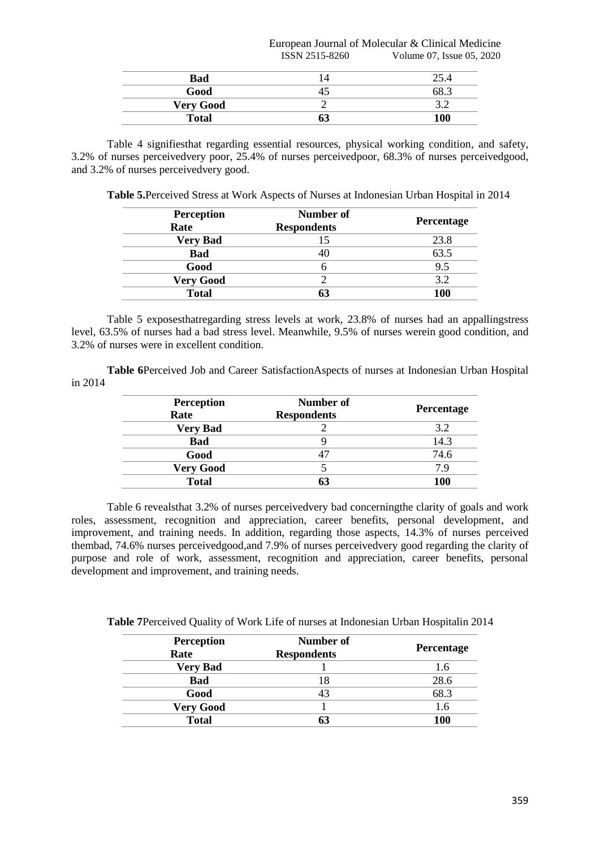|                  | European Journal of Molecular & Clinical Medicine |                           |
|------------------|---------------------------------------------------|---------------------------|
|                  | ISSN 2515-8260                                    | Volume 07, Issue 05, 2020 |
| Bad              | 14                                                | 25.4                      |
| Good             |                                                   | 68.3                      |
| <b>Very Good</b> |                                                   | 32                        |
| <b>Total</b>     | 63                                                | 100                       |

Table 4 signifiesthat regarding essential resources, physical working condition, and safety, 3.2% of nurses perceivedvery poor, 25.4% of nurses perceivedpoor, 68.3% of nurses perceivedgood, and 3.2% of nurses perceivedvery good.

**Table 5.**Perceived Stress at Work Aspects of Nurses at Indonesian Urban Hospital in 2014

| <b>Perception</b><br>Rate | Number of<br><b>Respondents</b> | Percentage |
|---------------------------|---------------------------------|------------|
| <b>Very Bad</b>           |                                 | 23.8       |
| <b>Bad</b>                | 40                              | 63.5       |
| Good                      |                                 | 9.5        |
| <b>Very Good</b>          |                                 | 3.2        |
| <b>Total</b>              |                                 | 100        |

Table 5 exposesthatregarding stress levels at work, 23.8% of nurses had an appallingstress level, 63.5% of nurses had a bad stress level. Meanwhile, 9.5% of nurses werein good condition, and 3.2% of nurses were in excellent condition.

**Table 6**Perceived Job and Career SatisfactionAspects of nurses at Indonesian Urban Hospital in 2014

| <b>Perception</b><br>Rate | Number of<br><b>Respondents</b> | Percentage |
|---------------------------|---------------------------------|------------|
| <b>Very Bad</b>           |                                 | 3.2        |
| <b>Bad</b>                |                                 | 14.3       |
| Good                      |                                 | 74.6       |
| <b>Very Good</b>          |                                 | 79         |
| <b>Total</b>              |                                 | 100        |

Table 6 revealsthat 3.2% of nurses perceivedvery bad concerningthe clarity of goals and work roles, assessment, recognition and appreciation, career benefits, personal development, and improvement, and training needs. In addition, regarding those aspects, 14.3% of nurses perceived thembad, 74.6% nurses perceivedgood,and 7.9% of nurses perceivedvery good regarding the clarity of purpose and role of work, assessment, recognition and appreciation, career benefits, personal development and improvement, and training needs.

**Table 7**Perceived Quality of Work Life of nurses at Indonesian Urban Hospitalin 2014

| <b>Perception</b> | Number of          |            |
|-------------------|--------------------|------------|
| Rate              | <b>Respondents</b> | Percentage |
| <b>Very Bad</b>   |                    | 1.6        |
| <b>Bad</b>        | 18                 | 28.6       |
| Good              |                    | 68.3       |
| <b>Very Good</b>  |                    | 1.6        |
| <b>Total</b>      |                    | 100        |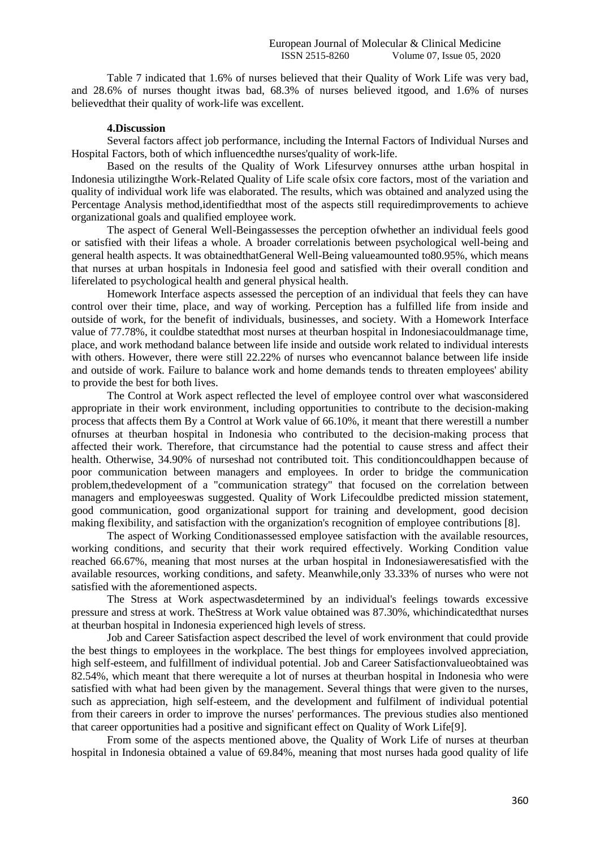Table 7 indicated that 1.6% of nurses believed that their Quality of Work Life was very bad, and 28.6% of nurses thought itwas bad, 68.3% of nurses believed itgood, and 1.6% of nurses believedthat their quality of work-life was excellent.

#### **4.Discussion**

Several factors affect job performance, including the Internal Factors of Individual Nurses and Hospital Factors, both of which influencedthe nurses'quality of work-life.

Based on the results of the Quality of Work Lifesurvey onnurses atthe urban hospital in Indonesia utilizingthe Work-Related Quality of Life scale ofsix core factors, most of the variation and quality of individual work life was elaborated. The results, which was obtained and analyzed using the Percentage Analysis method,identifiedthat most of the aspects still requiredimprovements to achieve organizational goals and qualified employee work.

The aspect of General Well-Beingassesses the perception ofwhether an individual feels good or satisfied with their lifeas a whole. A broader correlationis between psychological well-being and general health aspects. It was obtainedthatGeneral Well-Being valueamounted to80.95%, which means that nurses at urban hospitals in Indonesia feel good and satisfied with their overall condition and liferelated to psychological health and general physical health.

Homework Interface aspects assessed the perception of an individual that feels they can have control over their time, place, and way of working. Perception has a fulfilled life from inside and outside of work, for the benefit of individuals, businesses, and society. With a Homework Interface value of 77.78%, it couldbe statedthat most nurses at theurban hospital in Indonesiacouldmanage time, place, and work methodand balance between life inside and outside work related to individual interests with others. However, there were still 22.22% of nurses who evencannot balance between life inside and outside of work. Failure to balance work and home demands tends to threaten employees' ability to provide the best for both lives.

The Control at Work aspect reflected the level of employee control over what wasconsidered appropriate in their work environment, including opportunities to contribute to the decision-making process that affects them By a Control at Work value of 66.10%, it meant that there werestill a number ofnurses at theurban hospital in Indonesia who contributed to the decision-making process that affected their work. Therefore, that circumstance had the potential to cause stress and affect their health. Otherwise, 34.90% of nurseshad not contributed toit. This conditioncouldhappen because of poor communication between managers and employees. In order to bridge the communication problem,thedevelopment of a "communication strategy" that focused on the correlation between managers and employeeswas suggested. Quality of Work Lifecouldbe predicted mission statement, good communication, good organizational support for training and development, good decision making flexibility, and satisfaction with the organization's recognition of employee contributions [8].

The aspect of Working Conditionassessed employee satisfaction with the available resources, working conditions, and security that their work required effectively. Working Condition value reached 66.67%, meaning that most nurses at the urban hospital in Indonesiaweresatisfied with the available resources, working conditions, and safety. Meanwhile,only 33.33% of nurses who were not satisfied with the aforementioned aspects.

The Stress at Work aspectwasdetermined by an individual's feelings towards excessive pressure and stress at work. TheStress at Work value obtained was 87.30%, whichindicatedthat nurses at theurban hospital in Indonesia experienced high levels of stress.

Job and Career Satisfaction aspect described the level of work environment that could provide the best things to employees in the workplace. The best things for employees involved appreciation, high self-esteem, and fulfillment of individual potential. Job and Career Satisfactionvalueobtained was 82.54%, which meant that there werequite a lot of nurses at theurban hospital in Indonesia who were satisfied with what had been given by the management. Several things that were given to the nurses, such as appreciation, high self-esteem, and the development and fulfilment of individual potential from their careers in order to improve the nurses' performances. The previous studies also mentioned that career opportunities had a positive and significant effect on Quality of Work Life[9].

From some of the aspects mentioned above, the Quality of Work Life of nurses at theurban hospital in Indonesia obtained a value of 69.84%, meaning that most nurses hada good quality of life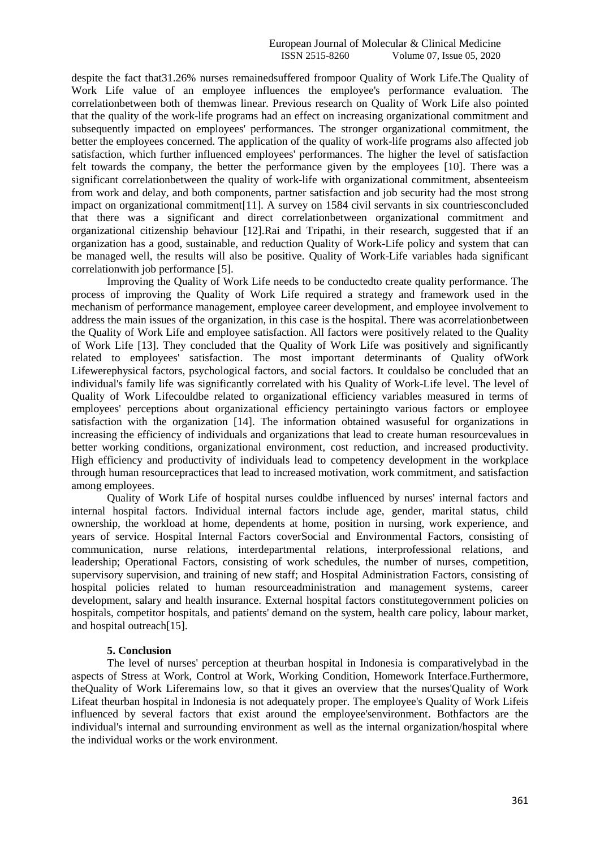despite the fact that31.26% nurses remainedsuffered frompoor Quality of Work Life.The Quality of Work Life value of an employee influences the employee's performance evaluation. The correlationbetween both of themwas linear. Previous research on Quality of Work Life also pointed that the quality of the work-life programs had an effect on increasing organizational commitment and subsequently impacted on employees' performances. The stronger organizational commitment, the better the employees concerned. The application of the quality of work-life programs also affected job satisfaction, which further influenced employees' performances. The higher the level of satisfaction felt towards the company, the better the performance given by the employees [10]. There was a significant correlationbetween the quality of work-life with organizational commitment, absenteeism from work and delay, and both components, partner satisfaction and job security had the most strong impact on organizational commitment[11]. A survey on 1584 civil servants in six countriesconcluded that there was a significant and direct correlationbetween organizational commitment and organizational citizenship behaviour [12].Rai and Tripathi, in their research, suggested that if an organization has a good, sustainable, and reduction Quality of Work-Life policy and system that can be managed well, the results will also be positive. Quality of Work-Life variables hada significant correlationwith job performance [5].

Improving the Quality of Work Life needs to be conductedto create quality performance. The process of improving the Quality of Work Life required a strategy and framework used in the mechanism of performance management, employee career development, and employee involvement to address the main issues of the organization, in this case is the hospital. There was acorrelationbetween the Quality of Work Life and employee satisfaction. All factors were positively related to the Quality of Work Life [13]. They concluded that the Quality of Work Life was positively and significantly related to employees' satisfaction. The most important determinants of Quality ofWork Lifewerephysical factors, psychological factors, and social factors. It couldalso be concluded that an individual's family life was significantly correlated with his Quality of Work-Life level. The level of Quality of Work Lifecouldbe related to organizational efficiency variables measured in terms of employees' perceptions about organizational efficiency pertainingto various factors or employee satisfaction with the organization [14]. The information obtained wasuseful for organizations in increasing the efficiency of individuals and organizations that lead to create human resourcevalues in better working conditions, organizational environment, cost reduction, and increased productivity. High efficiency and productivity of individuals lead to competency development in the workplace through human resourcepractices that lead to increased motivation, work commitment, and satisfaction among employees.

Quality of Work Life of hospital nurses couldbe influenced by nurses' internal factors and internal hospital factors. Individual internal factors include age, gender, marital status, child ownership, the workload at home, dependents at home, position in nursing, work experience, and years of service. Hospital Internal Factors coverSocial and Environmental Factors, consisting of communication, nurse relations, interdepartmental relations, interprofessional relations, and leadership; Operational Factors, consisting of work schedules, the number of nurses, competition, supervisory supervision, and training of new staff; and Hospital Administration Factors, consisting of hospital policies related to human resourceadministration and management systems, career development, salary and health insurance. External hospital factors constitutegovernment policies on hospitals, competitor hospitals, and patients' demand on the system, health care policy, labour market, and hospital outreach[15].

## **5. Conclusion**

The level of nurses' perception at theurban hospital in Indonesia is comparativelybad in the aspects of Stress at Work, Control at Work, Working Condition, Homework Interface.Furthermore, theQuality of Work Liferemains low, so that it gives an overview that the nurses'Quality of Work Lifeat theurban hospital in Indonesia is not adequately proper. The employee's Quality of Work Lifeis influenced by several factors that exist around the employee'senvironment. Bothfactors are the individual's internal and surrounding environment as well as the internal organization/hospital where the individual works or the work environment.